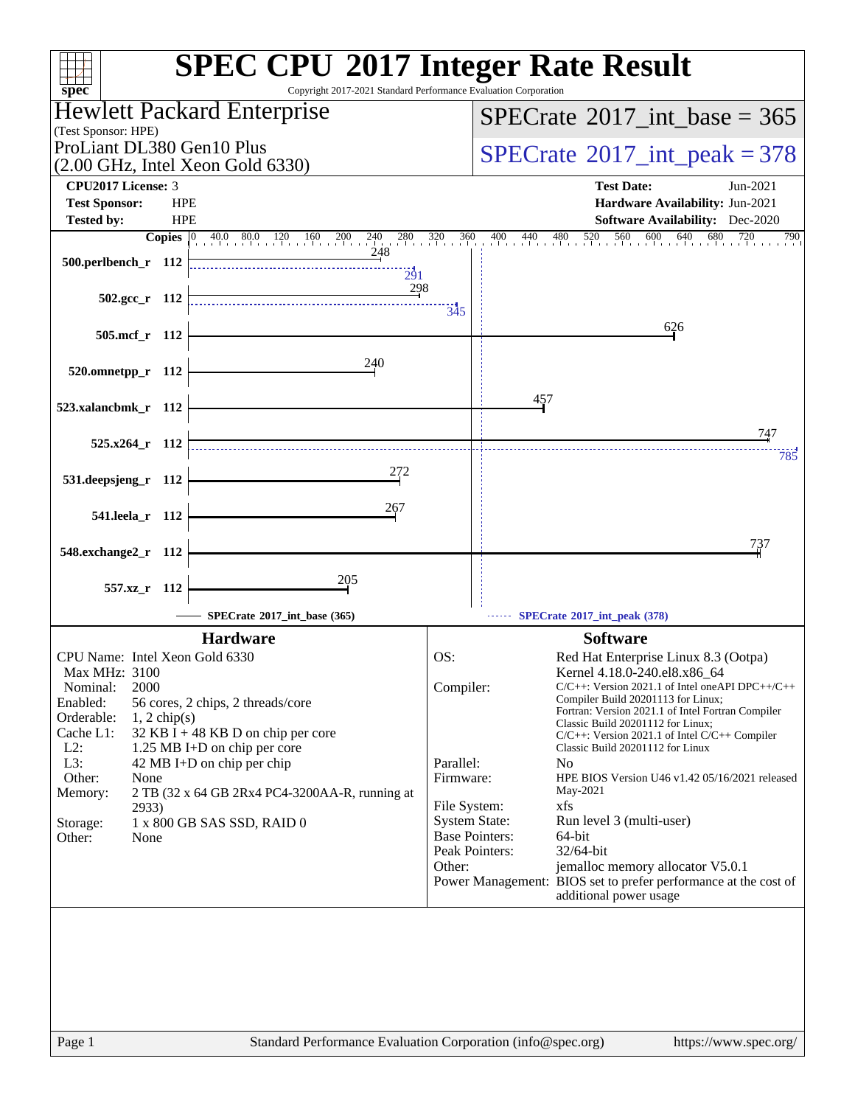| $spec^*$                                                                                                                                                                                                                                                                                                                                                                                                                                   | <b>SPEC CPU®2017 Integer Rate Result</b><br>Copyright 2017-2021 Standard Performance Evaluation Corporation                                                                                                                                                                                                                                                                                                                                                                                                                                                                                                                                                                                                                                                            |
|--------------------------------------------------------------------------------------------------------------------------------------------------------------------------------------------------------------------------------------------------------------------------------------------------------------------------------------------------------------------------------------------------------------------------------------------|------------------------------------------------------------------------------------------------------------------------------------------------------------------------------------------------------------------------------------------------------------------------------------------------------------------------------------------------------------------------------------------------------------------------------------------------------------------------------------------------------------------------------------------------------------------------------------------------------------------------------------------------------------------------------------------------------------------------------------------------------------------------|
| Hewlett Packard Enterprise                                                                                                                                                                                                                                                                                                                                                                                                                 | $SPECTate$ <sup>®</sup> 2017_int_base = 365                                                                                                                                                                                                                                                                                                                                                                                                                                                                                                                                                                                                                                                                                                                            |
| (Test Sponsor: HPE)                                                                                                                                                                                                                                                                                                                                                                                                                        |                                                                                                                                                                                                                                                                                                                                                                                                                                                                                                                                                                                                                                                                                                                                                                        |
| ProLiant DL380 Gen10 Plus<br>$(2.00 \text{ GHz}, \text{Intel Xeon Gold } 6330)$                                                                                                                                                                                                                                                                                                                                                            | $SPECTate@2017_int\_peak = 378$                                                                                                                                                                                                                                                                                                                                                                                                                                                                                                                                                                                                                                                                                                                                        |
| CPU2017 License: 3                                                                                                                                                                                                                                                                                                                                                                                                                         | <b>Test Date:</b><br>Jun-2021                                                                                                                                                                                                                                                                                                                                                                                                                                                                                                                                                                                                                                                                                                                                          |
| <b>Test Sponsor:</b><br><b>HPE</b>                                                                                                                                                                                                                                                                                                                                                                                                         | Hardware Availability: Jun-2021                                                                                                                                                                                                                                                                                                                                                                                                                                                                                                                                                                                                                                                                                                                                        |
| <b>HPE</b><br><b>Tested by:</b>                                                                                                                                                                                                                                                                                                                                                                                                            | <b>Software Availability:</b> Dec-2020                                                                                                                                                                                                                                                                                                                                                                                                                                                                                                                                                                                                                                                                                                                                 |
| $\begin{bmatrix} 0 & 40.0 & 80.0 & 120 & 160 & 200 & 240 \end{bmatrix}$<br><b>Copies</b><br>280 320<br>248<br>500.perlbench_r 112<br>291<br>298                                                                                                                                                                                                                                                                                            | 520<br>560<br>600<br>640<br>680<br>360<br>$\frac{400}{1}$<br>440 480<br>720<br>790                                                                                                                                                                                                                                                                                                                                                                                                                                                                                                                                                                                                                                                                                     |
| $502.\text{gcc r}$ 112                                                                                                                                                                                                                                                                                                                                                                                                                     | 345                                                                                                                                                                                                                                                                                                                                                                                                                                                                                                                                                                                                                                                                                                                                                                    |
| 505.mcf r 112                                                                                                                                                                                                                                                                                                                                                                                                                              | 626                                                                                                                                                                                                                                                                                                                                                                                                                                                                                                                                                                                                                                                                                                                                                                    |
| 240<br>520.omnetpp_r 112                                                                                                                                                                                                                                                                                                                                                                                                                   |                                                                                                                                                                                                                                                                                                                                                                                                                                                                                                                                                                                                                                                                                                                                                                        |
| 523.xalancbmk_r 112                                                                                                                                                                                                                                                                                                                                                                                                                        | 457                                                                                                                                                                                                                                                                                                                                                                                                                                                                                                                                                                                                                                                                                                                                                                    |
| $525.x264$ r 112                                                                                                                                                                                                                                                                                                                                                                                                                           | 747                                                                                                                                                                                                                                                                                                                                                                                                                                                                                                                                                                                                                                                                                                                                                                    |
| 272                                                                                                                                                                                                                                                                                                                                                                                                                                        | 785                                                                                                                                                                                                                                                                                                                                                                                                                                                                                                                                                                                                                                                                                                                                                                    |
| 531.deepsjeng_r 112                                                                                                                                                                                                                                                                                                                                                                                                                        |                                                                                                                                                                                                                                                                                                                                                                                                                                                                                                                                                                                                                                                                                                                                                                        |
| 267<br>541.leela_r 112                                                                                                                                                                                                                                                                                                                                                                                                                     |                                                                                                                                                                                                                                                                                                                                                                                                                                                                                                                                                                                                                                                                                                                                                                        |
| 548.exchange2_r 112                                                                                                                                                                                                                                                                                                                                                                                                                        | 737                                                                                                                                                                                                                                                                                                                                                                                                                                                                                                                                                                                                                                                                                                                                                                    |
| 205<br>557.xz r 112                                                                                                                                                                                                                                                                                                                                                                                                                        |                                                                                                                                                                                                                                                                                                                                                                                                                                                                                                                                                                                                                                                                                                                                                                        |
| SPECrate®2017_int_base (365)                                                                                                                                                                                                                                                                                                                                                                                                               | SPECrate*2017_int_peak (378)                                                                                                                                                                                                                                                                                                                                                                                                                                                                                                                                                                                                                                                                                                                                           |
| <b>Hardware</b>                                                                                                                                                                                                                                                                                                                                                                                                                            | <b>Software</b>                                                                                                                                                                                                                                                                                                                                                                                                                                                                                                                                                                                                                                                                                                                                                        |
| CPU Name: Intel Xeon Gold 6330<br>Max MHz: 3100<br>2000<br>Nominal:<br>Enabled:<br>56 cores, 2 chips, 2 threads/core<br>Orderable:<br>$1, 2$ chip(s)<br>Cache L1:<br>32 KB I + 48 KB D on chip per core<br>$L2$ :<br>1.25 MB I+D on chip per core<br>L3:<br>42 MB I+D on chip per chip<br>Other:<br>None<br>Memory:<br>2 TB (32 x 64 GB 2Rx4 PC4-3200AA-R, running at<br>2933)<br>1 x 800 GB SAS SSD, RAID 0<br>Storage:<br>Other:<br>None | OS:<br>Red Hat Enterprise Linux 8.3 (Ootpa)<br>Kernel 4.18.0-240.el8.x86_64<br>$C/C++$ : Version 2021.1 of Intel one API DPC++/C++<br>Compiler:<br>Compiler Build 20201113 for Linux;<br>Fortran: Version 2021.1 of Intel Fortran Compiler<br>Classic Build 20201112 for Linux;<br>C/C++: Version 2021.1 of Intel C/C++ Compiler<br>Classic Build 20201112 for Linux<br>Parallel:<br>N <sub>0</sub><br>Firmware:<br>HPE BIOS Version U46 v1.42 05/16/2021 released<br>May-2021<br>File System:<br>xfs<br><b>System State:</b><br>Run level 3 (multi-user)<br><b>Base Pointers:</b><br>64-bit<br>Peak Pointers:<br>32/64-bit<br>Other:<br>jemalloc memory allocator V5.0.1<br>Power Management: BIOS set to prefer performance at the cost of<br>additional power usage |
| Page 1                                                                                                                                                                                                                                                                                                                                                                                                                                     | Standard Performance Evaluation Corporation (info@spec.org)<br>https://www.spec.org/                                                                                                                                                                                                                                                                                                                                                                                                                                                                                                                                                                                                                                                                                   |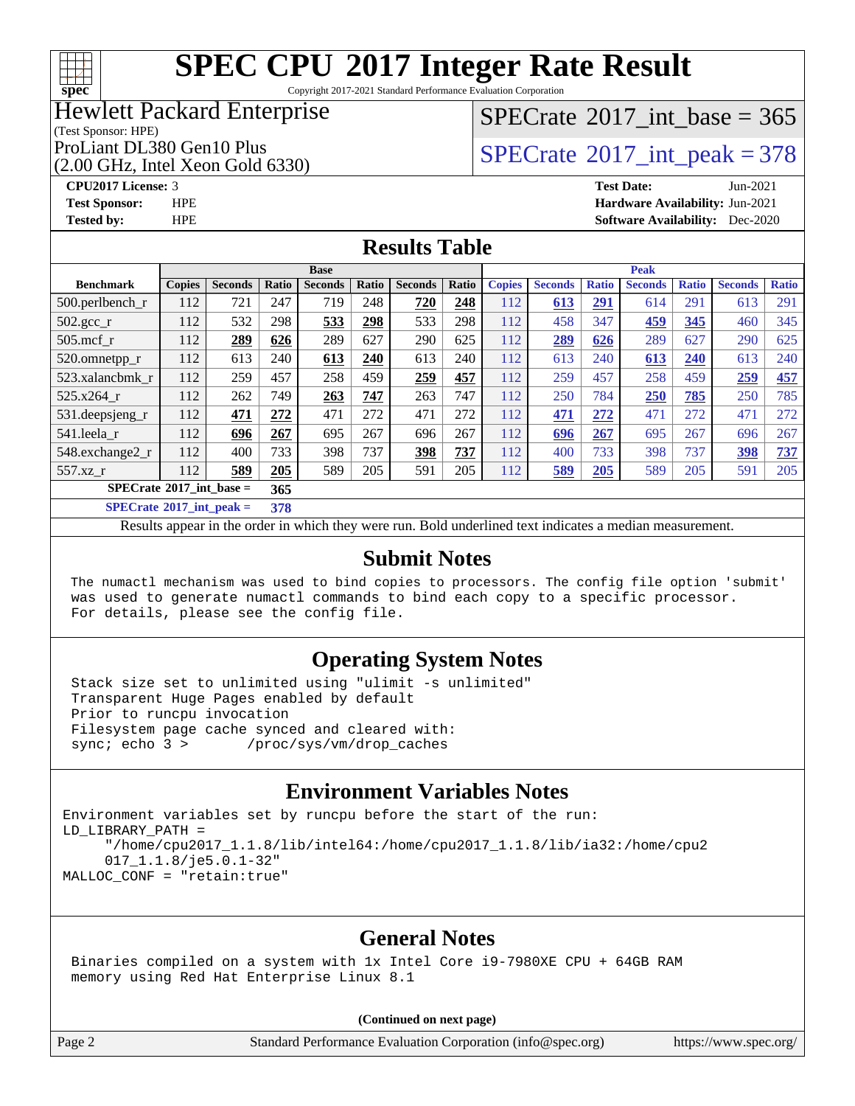

Copyright 2017-2021 Standard Performance Evaluation Corporation

### Hewlett Packard Enterprise

## $SPECrate$ <sup>®</sup>[2017\\_int\\_base =](http://www.spec.org/auto/cpu2017/Docs/result-fields.html#SPECrate2017intbase) 365

(Test Sponsor: HPE)

(2.00 GHz, Intel Xeon Gold 6330)

ProLiant DL380 Gen10 Plus<br>  $\alpha$  on  $G_H$ , Intel Yean Gold 6330)

**[CPU2017 License:](http://www.spec.org/auto/cpu2017/Docs/result-fields.html#CPU2017License)** 3 **[Test Date:](http://www.spec.org/auto/cpu2017/Docs/result-fields.html#TestDate)** Jun-2021 **[Test Sponsor:](http://www.spec.org/auto/cpu2017/Docs/result-fields.html#TestSponsor)** HPE **[Hardware Availability:](http://www.spec.org/auto/cpu2017/Docs/result-fields.html#HardwareAvailability)** Jun-2021 **[Tested by:](http://www.spec.org/auto/cpu2017/Docs/result-fields.html#Testedby)** HPE **[Software Availability:](http://www.spec.org/auto/cpu2017/Docs/result-fields.html#SoftwareAvailability)** Dec-2020

### **[Results Table](http://www.spec.org/auto/cpu2017/Docs/result-fields.html#ResultsTable)**

|                                             | <b>Base</b>   |                |              |                |       | <b>Peak</b>    |       |               |                |              |                |              |                |              |
|---------------------------------------------|---------------|----------------|--------------|----------------|-------|----------------|-------|---------------|----------------|--------------|----------------|--------------|----------------|--------------|
| <b>Benchmark</b>                            | <b>Copies</b> | <b>Seconds</b> | <b>Ratio</b> | <b>Seconds</b> | Ratio | <b>Seconds</b> | Ratio | <b>Copies</b> | <b>Seconds</b> | <b>Ratio</b> | <b>Seconds</b> | <b>Ratio</b> | <b>Seconds</b> | <b>Ratio</b> |
| 500.perlbench_r                             | 112           | 721            | 247          | 719            | 248   | 720            | 248   | 112           | 613            | 291          | 614            | 291          | 613            | 291          |
| $502.\text{sec}$ <sub>r</sub>               | 112           | 532            | 298          | 533            | 298   | 533            | 298   | 112           | 458            | 347          | 459            | 345          | 460            | 345          |
| $505$ .mcf r                                | 112           | 289            | 626          | 289            | 627   | 290            | 625   | 112           | 289            | 626          | 289            | 627          | 290            | 625          |
| 520.omnetpp_r                               | 112           | 613            | 240          | 613            | 240   | 613            | 240   | 112           | 613            | 240          | 613            | 240          | 613            | 240          |
| 523.xalancbmk r                             | 112           | 259            | 457          | 258            | 459   | 259            | 457   | 112           | 259            | 457          | 258            | 459          | 259            | 457          |
| 525.x264 r                                  | 112           | 262            | 749          | 263            | 747   | 263            | 747   | 112           | 250            | 784          | 250            | 785          | 250            | 785          |
| $531.$ deepsjeng $_r$                       | 112           | 471            | 272          | 471            | 272   | 471            | 272   | 112           | 471            | 272          | 471            | 272          | 471            | 272          |
| 541.leela r                                 | 112           | 696            | 267          | 695            | 267   | 696            | 267   | 112           | 696            | 267          | 695            | 267          | 696            | 267          |
| 548.exchange2_r                             | 112           | 400            | 733          | 398            | 737   | 398            | 737   | 112           | 400            | 733          | 398            | 737          | 398            | 737          |
| 557.xz r                                    | 112           | 589            | 205          | 589            | 205   | 591            | 205   | 112           | 589            | 205          | 589            | 205          | 591            | 205          |
| $SPECrate^{\circ}2017$ int base =<br>365    |               |                |              |                |       |                |       |               |                |              |                |              |                |              |
| $CDFC_{\text{mod}}\sqrt{017}$ int nools $-$ |               |                | 270          |                |       |                |       |               |                |              |                |              |                |              |

**[SPECrate](http://www.spec.org/auto/cpu2017/Docs/result-fields.html#SPECrate2017intpeak)[2017\\_int\\_peak =](http://www.spec.org/auto/cpu2017/Docs/result-fields.html#SPECrate2017intpeak) 378**

Results appear in the [order in which they were run](http://www.spec.org/auto/cpu2017/Docs/result-fields.html#RunOrder). Bold underlined text [indicates a median measurement](http://www.spec.org/auto/cpu2017/Docs/result-fields.html#Median).

### **[Submit Notes](http://www.spec.org/auto/cpu2017/Docs/result-fields.html#SubmitNotes)**

 The numactl mechanism was used to bind copies to processors. The config file option 'submit' was used to generate numactl commands to bind each copy to a specific processor. For details, please see the config file.

### **[Operating System Notes](http://www.spec.org/auto/cpu2017/Docs/result-fields.html#OperatingSystemNotes)**

 Stack size set to unlimited using "ulimit -s unlimited" Transparent Huge Pages enabled by default Prior to runcpu invocation Filesystem page cache synced and cleared with: sync; echo 3 > /proc/sys/vm/drop\_caches

### **[Environment Variables Notes](http://www.spec.org/auto/cpu2017/Docs/result-fields.html#EnvironmentVariablesNotes)**

```
Environment variables set by runcpu before the start of the run:
LD_LIBRARY_PATH =
      "/home/cpu2017_1.1.8/lib/intel64:/home/cpu2017_1.1.8/lib/ia32:/home/cpu2
      017_1.1.8/je5.0.1-32"
MALLOC_CONF = "retain:true"
```
### **[General Notes](http://www.spec.org/auto/cpu2017/Docs/result-fields.html#GeneralNotes)**

 Binaries compiled on a system with 1x Intel Core i9-7980XE CPU + 64GB RAM memory using Red Hat Enterprise Linux 8.1

#### **(Continued on next page)**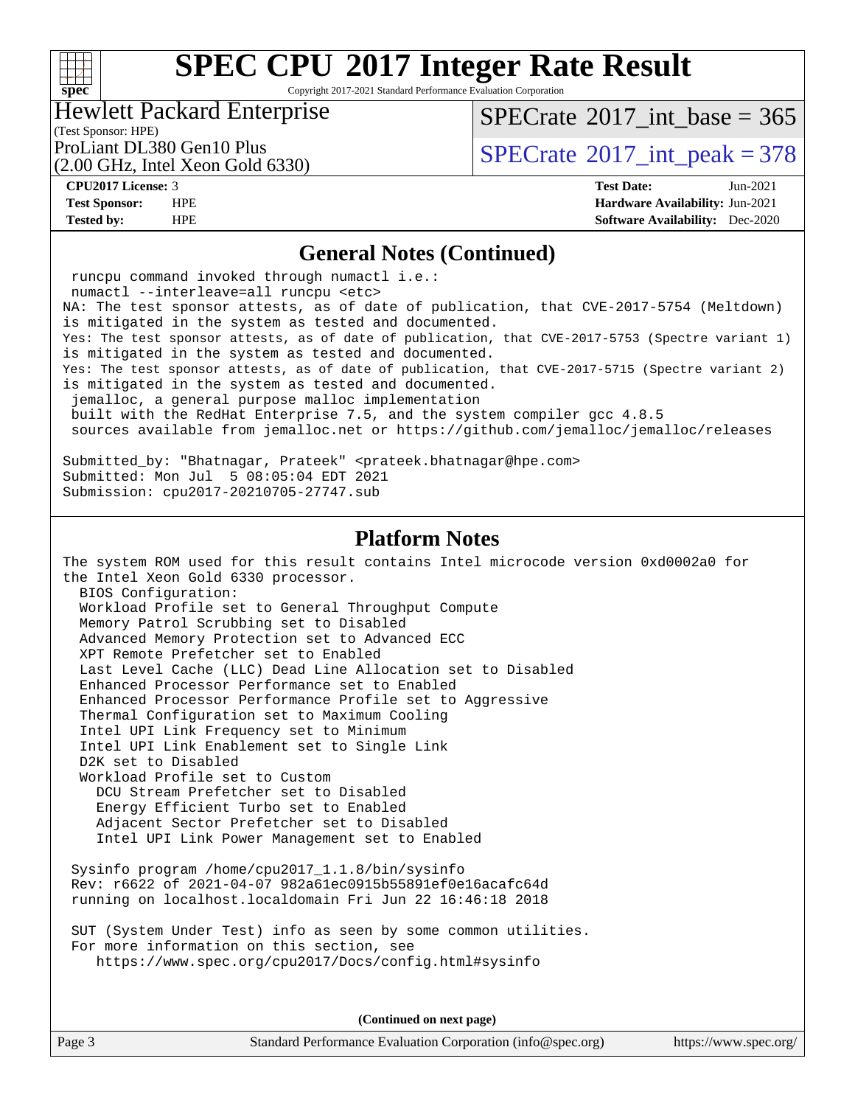### $+\ +$ **[spec](http://www.spec.org/)**

# **[SPEC CPU](http://www.spec.org/auto/cpu2017/Docs/result-fields.html#SPECCPU2017IntegerRateResult)[2017 Integer Rate Result](http://www.spec.org/auto/cpu2017/Docs/result-fields.html#SPECCPU2017IntegerRateResult)**

Copyright 2017-2021 Standard Performance Evaluation Corporation

### Hewlett Packard Enterprise

 $SPECrate$ <sup>®</sup>[2017\\_int\\_base =](http://www.spec.org/auto/cpu2017/Docs/result-fields.html#SPECrate2017intbase) 365

(Test Sponsor: HPE)

(2.00 GHz, Intel Xeon Gold 6330)

ProLiant DL380 Gen10 Plus  $\text{SPECTate}^{\circ}2017\_int\_peak = 378$ 

**[CPU2017 License:](http://www.spec.org/auto/cpu2017/Docs/result-fields.html#CPU2017License)** 3 **[Test Date:](http://www.spec.org/auto/cpu2017/Docs/result-fields.html#TestDate)** Jun-2021 **[Test Sponsor:](http://www.spec.org/auto/cpu2017/Docs/result-fields.html#TestSponsor)** HPE **[Hardware Availability:](http://www.spec.org/auto/cpu2017/Docs/result-fields.html#HardwareAvailability)** Jun-2021 **[Tested by:](http://www.spec.org/auto/cpu2017/Docs/result-fields.html#Testedby)** HPE **[Software Availability:](http://www.spec.org/auto/cpu2017/Docs/result-fields.html#SoftwareAvailability)** Dec-2020

### **[General Notes \(Continued\)](http://www.spec.org/auto/cpu2017/Docs/result-fields.html#GeneralNotes)**

 runcpu command invoked through numactl i.e.: numactl --interleave=all runcpu <etc> NA: The test sponsor attests, as of date of publication, that CVE-2017-5754 (Meltdown) is mitigated in the system as tested and documented. Yes: The test sponsor attests, as of date of publication, that CVE-2017-5753 (Spectre variant 1) is mitigated in the system as tested and documented. Yes: The test sponsor attests, as of date of publication, that CVE-2017-5715 (Spectre variant 2) is mitigated in the system as tested and documented. jemalloc, a general purpose malloc implementation built with the RedHat Enterprise 7.5, and the system compiler gcc 4.8.5 sources available from jemalloc.net or<https://github.com/jemalloc/jemalloc/releases> Submitted\_by: "Bhatnagar, Prateek" <prateek.bhatnagar@hpe.com> Submitted: Mon Jul 5 08:05:04 EDT 2021 Submission: cpu2017-20210705-27747.sub **[Platform Notes](http://www.spec.org/auto/cpu2017/Docs/result-fields.html#PlatformNotes)** The system ROM used for this result contains Intel microcode version 0xd0002a0 for the Intel Xeon Gold 6330 processor. BIOS Configuration: Workload Profile set to General Throughput Compute Memory Patrol Scrubbing set to Disabled Advanced Memory Protection set to Advanced ECC XPT Remote Prefetcher set to Enabled Last Level Cache (LLC) Dead Line Allocation set to Disabled Enhanced Processor Performance set to Enabled Enhanced Processor Performance Profile set to Aggressive Thermal Configuration set to Maximum Cooling Intel UPI Link Frequency set to Minimum Intel UPI Link Enablement set to Single Link D2K set to Disabled Workload Profile set to Custom DCU Stream Prefetcher set to Disabled Energy Efficient Turbo set to Enabled Adjacent Sector Prefetcher set to Disabled Intel UPI Link Power Management set to Enabled Sysinfo program /home/cpu2017\_1.1.8/bin/sysinfo Rev: r6622 of 2021-04-07 982a61ec0915b55891ef0e16acafc64d running on localhost.localdomain Fri Jun 22 16:46:18 2018 SUT (System Under Test) info as seen by some common utilities. For more information on this section, see <https://www.spec.org/cpu2017/Docs/config.html#sysinfo>

**(Continued on next page)**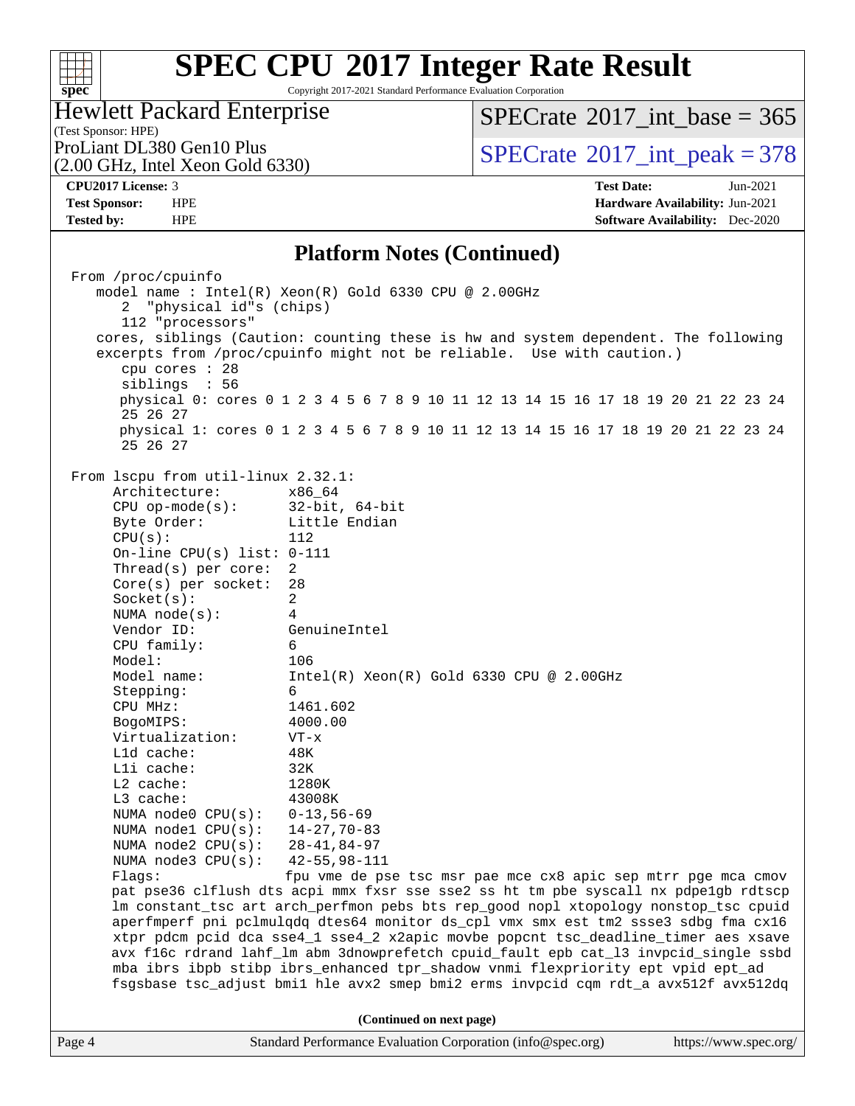### **[spec](http://www.spec.org/)**

# **[SPEC CPU](http://www.spec.org/auto/cpu2017/Docs/result-fields.html#SPECCPU2017IntegerRateResult)[2017 Integer Rate Result](http://www.spec.org/auto/cpu2017/Docs/result-fields.html#SPECCPU2017IntegerRateResult)**

Copyright 2017-2021 Standard Performance Evaluation Corporation

### Hewlett Packard Enterprise

 $SPECrate$ <sup>®</sup>[2017\\_int\\_base =](http://www.spec.org/auto/cpu2017/Docs/result-fields.html#SPECrate2017intbase) 365

(Test Sponsor: HPE)<br>ProLiant DL380 Gen10 Plus

### (2.00 GHz, Intel Xeon Gold 6330)

**[Test Sponsor:](http://www.spec.org/auto/cpu2017/Docs/result-fields.html#TestSponsor)** HPE **[Hardware Availability:](http://www.spec.org/auto/cpu2017/Docs/result-fields.html#HardwareAvailability)** Jun-2021

 $SPECTate$ <sup>®</sup>[2017\\_int\\_peak = 3](http://www.spec.org/auto/cpu2017/Docs/result-fields.html#SPECrate2017intpeak)78 **[CPU2017 License:](http://www.spec.org/auto/cpu2017/Docs/result-fields.html#CPU2017License)** 3 **[Test Date:](http://www.spec.org/auto/cpu2017/Docs/result-fields.html#TestDate)** Jun-2021

**[Tested by:](http://www.spec.org/auto/cpu2017/Docs/result-fields.html#Testedby)** HPE **[Software Availability:](http://www.spec.org/auto/cpu2017/Docs/result-fields.html#SoftwareAvailability)** Dec-2020 **[Platform Notes \(Continued\)](http://www.spec.org/auto/cpu2017/Docs/result-fields.html#PlatformNotes)**

|        | From /proc/cpuinfo<br>model name: Intel(R) Xeon(R) Gold 6330 CPU @ 2.00GHz<br>2 "physical id"s (chips)<br>112 "processors"<br>cores, siblings (Caution: counting these is hw and system dependent. The following<br>excerpts from /proc/cpuinfo might not be reliable. Use with caution.)<br>cpu cores : 28<br>siblings : 56<br>25 26 27<br>25 26 27                                                                                                                                                                                                                                                                                                                                                                                                                                                                                                                                 |                                                                                                                                                                                                                                                             |  | physical 0: cores 0 1 2 3 4 5 6 7 8 9 10 11 12 13 14 15 16 17 18 19 20 21 22 23 24<br>physical 1: cores 0 1 2 3 4 5 6 7 8 9 10 11 12 13 14 15 16 17 18 19 20 21 22 23 24                                                                     |
|--------|--------------------------------------------------------------------------------------------------------------------------------------------------------------------------------------------------------------------------------------------------------------------------------------------------------------------------------------------------------------------------------------------------------------------------------------------------------------------------------------------------------------------------------------------------------------------------------------------------------------------------------------------------------------------------------------------------------------------------------------------------------------------------------------------------------------------------------------------------------------------------------------|-------------------------------------------------------------------------------------------------------------------------------------------------------------------------------------------------------------------------------------------------------------|--|----------------------------------------------------------------------------------------------------------------------------------------------------------------------------------------------------------------------------------------------|
|        | From lscpu from util-linux 2.32.1:<br>Architecture:<br>$CPU$ op-mode(s):<br>Byte Order:<br>CPU(s):<br>On-line CPU(s) list: $0-111$<br>Thread(s) per core:<br>$Core(s)$ per socket:<br>Socket(s):<br>NUMA node(s):<br>Vendor ID:<br>CPU family:<br>Model:<br>Model name:<br>Stepping:<br>CPU MHz:<br>BogoMIPS:<br>Virtualization:<br>Lld cache:<br>Lli cache:<br>L2 cache:<br>L3 cache:<br>NUMA node0 CPU(s): 0-13,56-69<br>NUMA nodel CPU(s): 14-27,70-83<br>NUMA node2 CPU(s): 28-41,84-97<br>NUMA $node3$ $CPU(s)$ :<br>Flaqs:<br>lm constant_tsc art arch_perfmon pebs bts rep_good nopl xtopology nonstop_tsc cpuid<br>aperfmperf pni pclmulqdq dtes64 monitor ds_cpl vmx smx est tm2 ssse3 sdbg fma cx16<br>xtpr pdcm pcid dca sse4_1 sse4_2 x2apic movbe popcnt tsc_deadline_timer aes xsave<br>mba ibrs ibpb stibp ibrs_enhanced tpr_shadow vnmi flexpriority ept vpid ept_ad | x86 64<br>$32$ -bit, 64-bit<br>Little Endian<br>112<br>2<br>28<br>$\overline{a}$<br>4<br>GenuineIntel<br>6<br>106<br>$Intel(R)$ Xeon $(R)$ Gold 6330 CPU @ 2.00GHz<br>6<br>1461.602<br>4000.00<br>$VT - x$<br>48K<br>32K<br>1280K<br>43008K<br>42-55,98-111 |  | fpu vme de pse tsc msr pae mce cx8 apic sep mtrr pge mca cmov<br>pat pse36 clflush dts acpi mmx fxsr sse sse2 ss ht tm pbe syscall nx pdpelgb rdtscp<br>avx f16c rdrand lahf_lm abm 3dnowprefetch cpuid_fault epb cat_13 invpcid_single ssbd |
|        | fsgsbase tsc_adjust bmil hle avx2 smep bmi2 erms invpcid cqm rdt_a avx512f avx512dq                                                                                                                                                                                                                                                                                                                                                                                                                                                                                                                                                                                                                                                                                                                                                                                                  |                                                                                                                                                                                                                                                             |  |                                                                                                                                                                                                                                              |
| Page 4 |                                                                                                                                                                                                                                                                                                                                                                                                                                                                                                                                                                                                                                                                                                                                                                                                                                                                                      | (Continued on next page)<br>Standard Performance Evaluation Corporation (info@spec.org)                                                                                                                                                                     |  | https://www.spec.org/                                                                                                                                                                                                                        |
|        |                                                                                                                                                                                                                                                                                                                                                                                                                                                                                                                                                                                                                                                                                                                                                                                                                                                                                      |                                                                                                                                                                                                                                                             |  |                                                                                                                                                                                                                                              |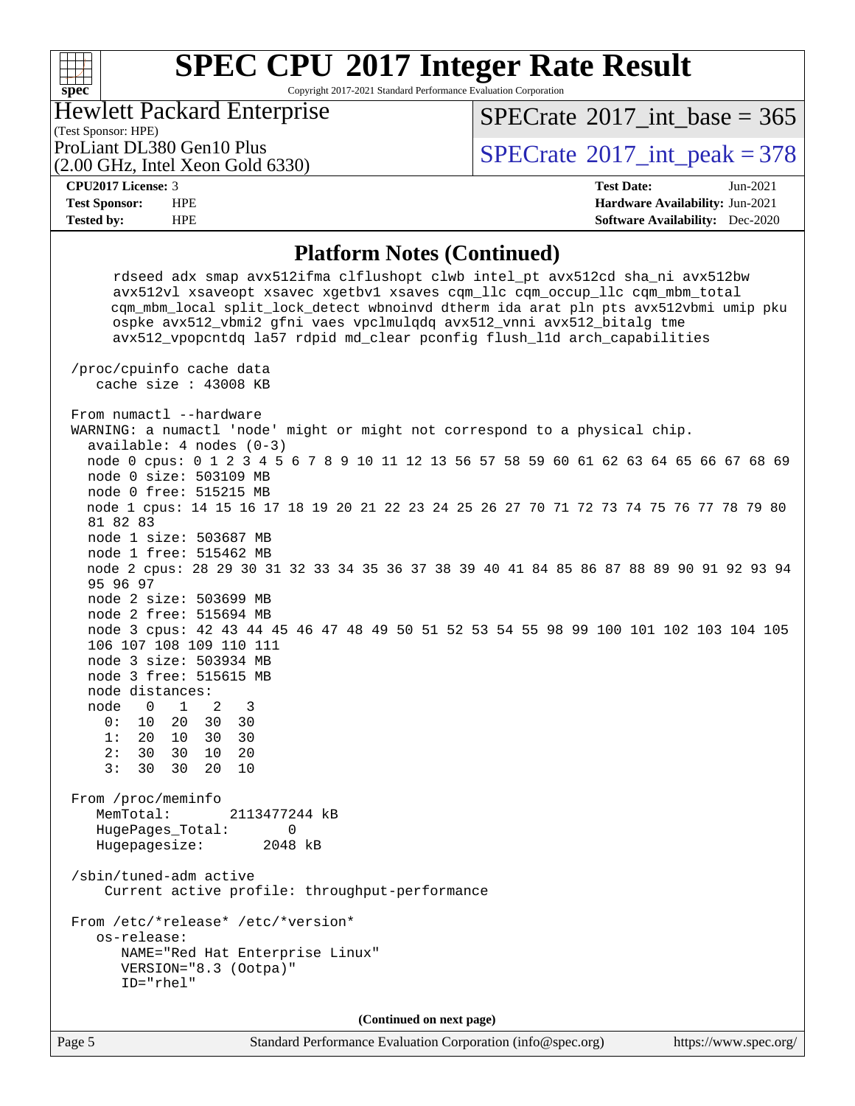Copyright 2017-2021 Standard Performance Evaluation Corporation

(Test Sponsor: HPE) Hewlett Packard Enterprise

 $SPECTate$ <sup>®</sup>[2017\\_int\\_base =](http://www.spec.org/auto/cpu2017/Docs/result-fields.html#SPECrate2017intbase) 365

(2.00 GHz, Intel Xeon Gold 6330)

ProLiant DL380 Gen10 Plus  $\text{SPECTate}^{\circ}2017\_int\_peak = 378$ 

#### **[CPU2017 License:](http://www.spec.org/auto/cpu2017/Docs/result-fields.html#CPU2017License)** 3 **[Test Date:](http://www.spec.org/auto/cpu2017/Docs/result-fields.html#TestDate)** Jun-2021

**[spec](http://www.spec.org/)**

 $+\!\!+\!\!$ 

**[Test Sponsor:](http://www.spec.org/auto/cpu2017/Docs/result-fields.html#TestSponsor)** HPE **[Hardware Availability:](http://www.spec.org/auto/cpu2017/Docs/result-fields.html#HardwareAvailability)** Jun-2021 **[Tested by:](http://www.spec.org/auto/cpu2017/Docs/result-fields.html#Testedby)** HPE **[Software Availability:](http://www.spec.org/auto/cpu2017/Docs/result-fields.html#SoftwareAvailability)** Dec-2020

### **[Platform Notes \(Continued\)](http://www.spec.org/auto/cpu2017/Docs/result-fields.html#PlatformNotes)**

 rdseed adx smap avx512ifma clflushopt clwb intel\_pt avx512cd sha\_ni avx512bw avx512vl xsaveopt xsavec xgetbv1 xsaves cqm\_llc cqm\_occup\_llc cqm\_mbm\_total cqm\_mbm\_local split\_lock\_detect wbnoinvd dtherm ida arat pln pts avx512vbmi umip pku ospke avx512\_vbmi2 gfni vaes vpclmulqdq avx512\_vnni avx512\_bitalg tme avx512\_vpopcntdq la57 rdpid md\_clear pconfig flush\_l1d arch\_capabilities /proc/cpuinfo cache data cache size : 43008 KB From numactl --hardware WARNING: a numactl 'node' might or might not correspond to a physical chip. available: 4 nodes (0-3) node 0 cpus: 0 1 2 3 4 5 6 7 8 9 10 11 12 13 56 57 58 59 60 61 62 63 64 65 66 67 68 69 node 0 size: 503109 MB node 0 free: 515215 MB node 1 cpus: 14 15 16 17 18 19 20 21 22 23 24 25 26 27 70 71 72 73 74 75 76 77 78 79 80 81 82 83 node 1 size: 503687 MB node 1 free: 515462 MB node 2 cpus: 28 29 30 31 32 33 34 35 36 37 38 39 40 41 84 85 86 87 88 89 90 91 92 93 94 95 96 97 node 2 size: 503699 MB node 2 free: 515694 MB node 3 cpus: 42 43 44 45 46 47 48 49 50 51 52 53 54 55 98 99 100 101 102 103 104 105 106 107 108 109 110 111 node 3 size: 503934 MB node 3 free: 515615 MB node distances: node 0 1 2 3 0: 10 20 30 30 1: 20 10 30 30 2: 30 30 10 20 3: 30 30 20 10 From /proc/meminfo MemTotal: 2113477244 kB HugePages\_Total: 0 Hugepagesize: 2048 kB /sbin/tuned-adm active Current active profile: throughput-performance From /etc/\*release\* /etc/\*version\* os-release: NAME="Red Hat Enterprise Linux" VERSION="8.3 (Ootpa)" ID="rhel" **(Continued on next page)**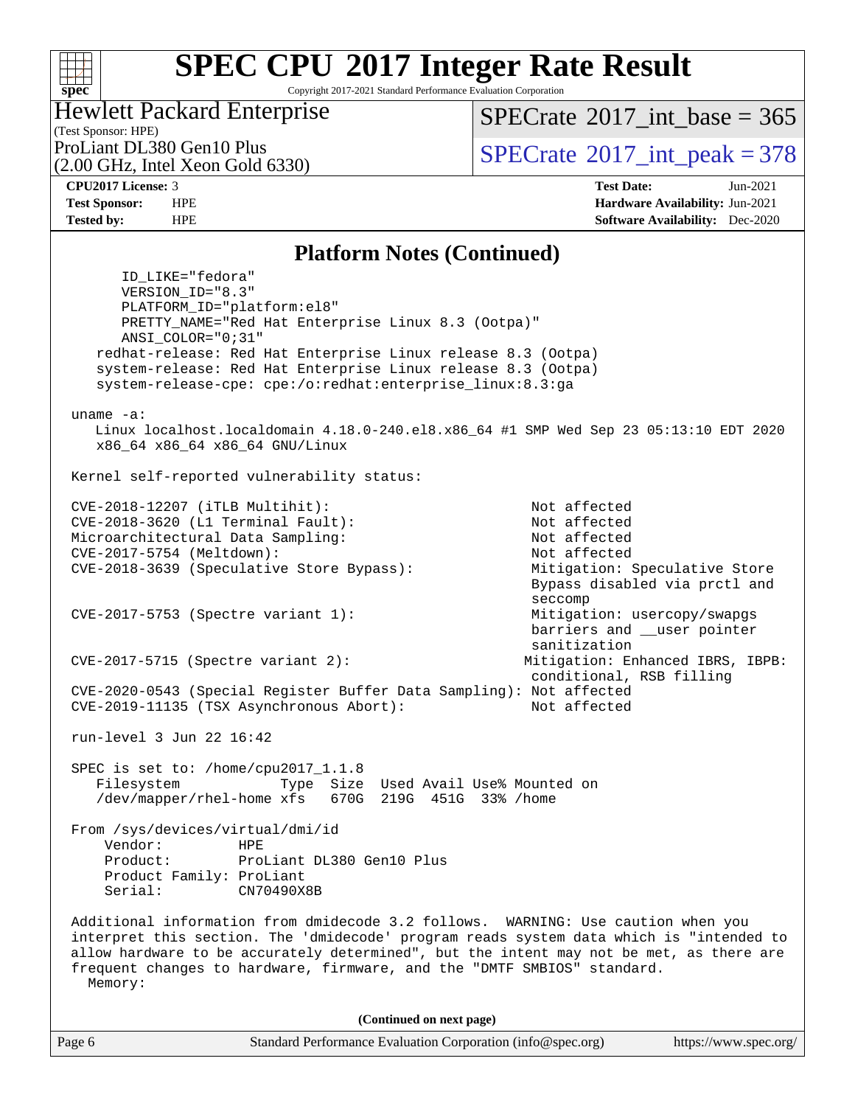#### **[SPEC CPU](http://www.spec.org/auto/cpu2017/Docs/result-fields.html#SPECCPU2017IntegerRateResult)[2017 Integer Rate Result](http://www.spec.org/auto/cpu2017/Docs/result-fields.html#SPECCPU2017IntegerRateResult)**  $+\hskip -1.5pt +\hskip -1.5pt +$ **[spec](http://www.spec.org/)** Copyright 2017-2021 Standard Performance Evaluation Corporation Hewlett Packard Enterprise  $SPECrate$ <sup>®</sup>[2017\\_int\\_base =](http://www.spec.org/auto/cpu2017/Docs/result-fields.html#SPECrate2017intbase) 365 (Test Sponsor: HPE) ProLiant DL380 Gen10 Plus  $SPECTate$ <sup>(2017</sup> int\_peak = 378) (2.00 GHz, Intel Xeon Gold 6330) **[CPU2017 License:](http://www.spec.org/auto/cpu2017/Docs/result-fields.html#CPU2017License)** 3 **[Test Date:](http://www.spec.org/auto/cpu2017/Docs/result-fields.html#TestDate)** Jun-2021 **[Test Sponsor:](http://www.spec.org/auto/cpu2017/Docs/result-fields.html#TestSponsor)** HPE **[Hardware Availability:](http://www.spec.org/auto/cpu2017/Docs/result-fields.html#HardwareAvailability)** Jun-2021 **[Tested by:](http://www.spec.org/auto/cpu2017/Docs/result-fields.html#Testedby)** HPE **[Software Availability:](http://www.spec.org/auto/cpu2017/Docs/result-fields.html#SoftwareAvailability)** Dec-2020

### **[Platform Notes \(Continued\)](http://www.spec.org/auto/cpu2017/Docs/result-fields.html#PlatformNotes)**

 ID\_LIKE="fedora" VERSION\_ID="8.3" PLATFORM\_ID="platform:el8" PRETTY\_NAME="Red Hat Enterprise Linux 8.3 (Ootpa)" ANSI\_COLOR="0;31" redhat-release: Red Hat Enterprise Linux release 8.3 (Ootpa) system-release: Red Hat Enterprise Linux release 8.3 (Ootpa) system-release-cpe: cpe:/o:redhat:enterprise\_linux:8.3:ga uname -a: Linux localhost.localdomain 4.18.0-240.el8.x86\_64 #1 SMP Wed Sep 23 05:13:10 EDT 2020 x86\_64 x86\_64 x86\_64 GNU/Linux Kernel self-reported vulnerability status: CVE-2018-12207 (iTLB Multihit): Not affected CVE-2018-3620 (L1 Terminal Fault): Not affected Microarchitectural Data Sampling: Not affected CVE-2017-5754 (Meltdown): Not affected CVE-2018-3639 (Speculative Store Bypass): Mitigation: Speculative Store Bypass disabled via prctl and seccompany and the contract of the contract of the contract of the second seconds of the contract of the contract of the contract of the contract of the contract of the contract of the contract of the contract of the contr CVE-2017-5753 (Spectre variant 1): Mitigation: usercopy/swapgs barriers and \_\_user pointer sanitization CVE-2017-5715 (Spectre variant 2): Mitigation: Enhanced IBRS, IBPB: conditional, RSB filling CVE-2020-0543 (Special Register Buffer Data Sampling): Not affected CVE-2019-11135 (TSX Asynchronous Abort): Not affected run-level 3 Jun 22 16:42 SPEC is set to: /home/cpu2017\_1.1.8 Filesystem Type Size Used Avail Use% Mounted on /dev/mapper/rhel-home xfs 670G 219G 451G 33% /home From /sys/devices/virtual/dmi/id Vendor: HPE Product: ProLiant DL380 Gen10 Plus Product Family: ProLiant Serial: CN70490X8B Additional information from dmidecode 3.2 follows. WARNING: Use caution when you interpret this section. The 'dmidecode' program reads system data which is "intended to allow hardware to be accurately determined", but the intent may not be met, as there are frequent changes to hardware, firmware, and the "DMTF SMBIOS" standard. Memory: **(Continued on next page)**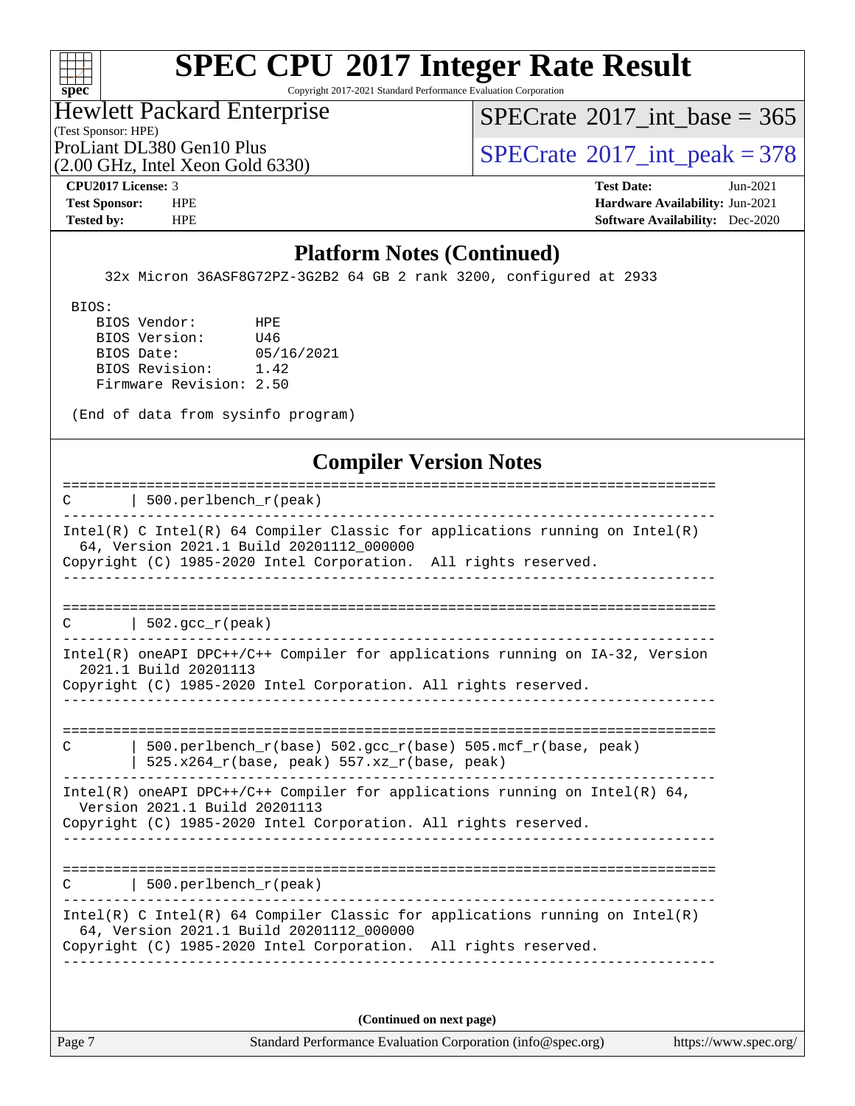

Copyright 2017-2021 Standard Performance Evaluation Corporation

(Test Sponsor: HPE) Hewlett Packard Enterprise

 $SPECrate$ <sup>®</sup>[2017\\_int\\_base =](http://www.spec.org/auto/cpu2017/Docs/result-fields.html#SPECrate2017intbase) 365

(2.00 GHz, Intel Xeon Gold 6330)

ProLiant DL380 Gen10 Plus  $\begin{array}{c} | \text{SPECrate} \text{[3]} \text{[3]} \text{[3]} \text{[4]} \text{[5]} \text{[5]} \text{[6]} \text{[6]} \text{[6]} \text{[6]} \text{[6]} \text{[6]} \text{[6]} \text{[6]} \text{[6]} \text{[6]} \text{[6]} \text{[6]} \text{[6]} \text{[6]} \text{[6]} \text{[6]} \text{[6]} \text{[6]} \text{[6]} \text{[6]} \text{[6]} \text{[6]} \text{[6]} \text{[6$  $\begin{array}{c} | \text{SPECrate} \text{[3]} \text{[3]} \text{[3]} \text{[4]} \text{[5]} \text{[5]} \text{[6]} \text{[6]} \text{[6]} \text{[6]} \text{[6]} \text{[6]} \text{[6]} \text{[6]} \text{[6]} \text{[6]} \text{[6]} \text{[6]} \text{[6]} \text{[6]} \text{[6]} \text{[6]} \text{[6]} \text{[6]} \text{[6]} \text{[6]} \text{[6]} \text{[6]} \text{[6]} \text{[6$  $\begin{array}{c} | \text{SPECrate} \text{[3]} \text{[3]} \text{[3]} \text{[4]} \text{[5]} \text{[5]} \text{[6]} \text{[6]} \text{[6]} \text{[6]} \text{[6]} \text{[6]} \text{[6]} \text{[6]} \text{[6]} \text{[6]} \text{[6]} \text{[6]} \text{[6]} \text{[6]} \text{[6]} \text{[6]} \text{[6]} \text{[6]} \text{[6]} \text{[6]} \text{[6]} \text{[6]} \text{[6]} \text{[6$ 

**[CPU2017 License:](http://www.spec.org/auto/cpu2017/Docs/result-fields.html#CPU2017License)** 3 **[Test Date:](http://www.spec.org/auto/cpu2017/Docs/result-fields.html#TestDate)** Jun-2021 **[Test Sponsor:](http://www.spec.org/auto/cpu2017/Docs/result-fields.html#TestSponsor)** HPE **[Hardware Availability:](http://www.spec.org/auto/cpu2017/Docs/result-fields.html#HardwareAvailability)** Jun-2021 **[Tested by:](http://www.spec.org/auto/cpu2017/Docs/result-fields.html#Testedby)** HPE **[Software Availability:](http://www.spec.org/auto/cpu2017/Docs/result-fields.html#SoftwareAvailability)** Dec-2020

### **[Platform Notes \(Continued\)](http://www.spec.org/auto/cpu2017/Docs/result-fields.html#PlatformNotes)**

32x Micron 36ASF8G72PZ-3G2B2 64 GB 2 rank 3200, configured at 2933

BIOS:

 BIOS Vendor: HPE BIOS Version: U46 BIOS Date: 05/16/2021 BIOS Revision: 1.42 Firmware Revision: 2.50

(End of data from sysinfo program)

### **[Compiler Version Notes](http://www.spec.org/auto/cpu2017/Docs/result-fields.html#CompilerVersionNotes)**

| $500.$ perlbench $r$ (peak)<br>C                                                                                                                                                            |
|---------------------------------------------------------------------------------------------------------------------------------------------------------------------------------------------|
| Intel(R) C Intel(R) 64 Compiler Classic for applications running on Intel(R)<br>64, Version 2021.1 Build 20201112_000000<br>Copyright (C) 1985-2020 Intel Corporation. All rights reserved. |
|                                                                                                                                                                                             |
| 502.gcc $r(\text{peak})$<br>C                                                                                                                                                               |
| $Intel(R)$ oneAPI DPC++/C++ Compiler for applications running on $IA-32$ , Version<br>2021.1 Build 20201113<br>Copyright (C) 1985-2020 Intel Corporation. All rights reserved.              |
| 500.perlbench $r(base)$ 502.qcc $r(base)$ 505.mcf $r(base, peak)$<br>C<br>$525.x264_r(base, peak) 557.xz_r(base, peak)$                                                                     |
| Intel(R) oneAPI DPC++/C++ Compiler for applications running on Intel(R) $64$ ,<br>Version 2021.1 Build 20201113<br>Copyright (C) 1985-2020 Intel Corporation. All rights reserved.          |
| $500.$ perlbench $r$ (peak)<br>C                                                                                                                                                            |
| Intel(R) C Intel(R) 64 Compiler Classic for applications running on Intel(R)<br>64, Version 2021.1 Build 20201112_000000<br>Copyright (C) 1985-2020 Intel Corporation. All rights reserved. |
|                                                                                                                                                                                             |

**(Continued on next page)**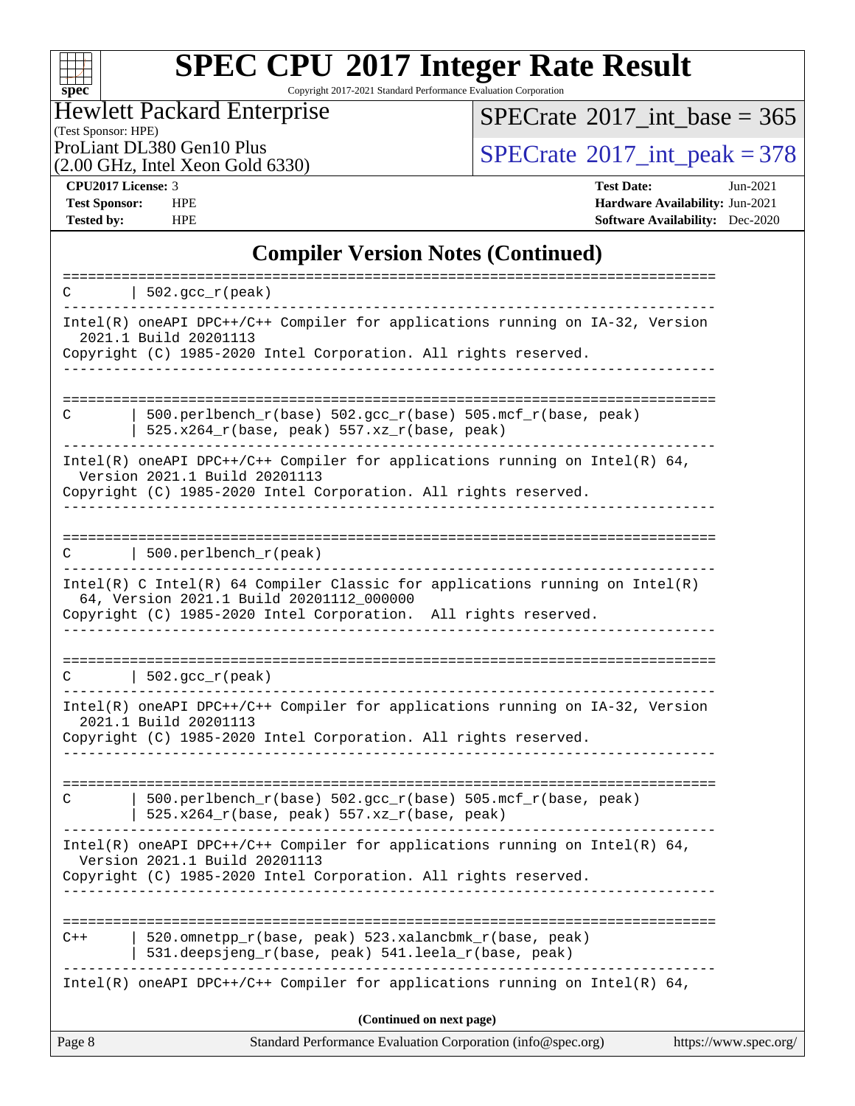

Copyright 2017-2021 Standard Performance Evaluation Corporation

#### (Test Sponsor: HPE) Hewlett Packard Enterprise

 $SPECrate$ <sup>®</sup>[2017\\_int\\_base =](http://www.spec.org/auto/cpu2017/Docs/result-fields.html#SPECrate2017intbase) 365

(2.00 GHz, Intel Xeon Gold 6330)

ProLiant DL380 Gen10 Plus<br>  $\binom{2017}{100}$  On GHz Intel Xeon Gold 6330)

**[CPU2017 License:](http://www.spec.org/auto/cpu2017/Docs/result-fields.html#CPU2017License)** 3 **[Test Date:](http://www.spec.org/auto/cpu2017/Docs/result-fields.html#TestDate)** Jun-2021 **[Test Sponsor:](http://www.spec.org/auto/cpu2017/Docs/result-fields.html#TestSponsor)** HPE **[Hardware Availability:](http://www.spec.org/auto/cpu2017/Docs/result-fields.html#HardwareAvailability)** Jun-2021 **[Tested by:](http://www.spec.org/auto/cpu2017/Docs/result-fields.html#Testedby)** HPE **[Software Availability:](http://www.spec.org/auto/cpu2017/Docs/result-fields.html#SoftwareAvailability)** Dec-2020

### **[Compiler Version Notes \(Continued\)](http://www.spec.org/auto/cpu2017/Docs/result-fields.html#CompilerVersionNotes)**

| Page 8 | Standard Performance Evaluation Corporation (info@spec.org)                                                                                                                                   | https://www.spec.org/ |
|--------|-----------------------------------------------------------------------------------------------------------------------------------------------------------------------------------------------|-----------------------|
|        | (Continued on next page)                                                                                                                                                                      |                       |
|        | Intel(R) oneAPI DPC++/C++ Compiler for applications running on Intel(R) 64,                                                                                                                   |                       |
| $C++$  | 520.omnetpp_r(base, peak) 523.xalancbmk_r(base, peak)<br>531.deepsjeng_r(base, peak) 541.leela_r(base, peak)                                                                                  |                       |
|        | $Intel(R)$ oneAPI DPC++/C++ Compiler for applications running on Intel(R) 64,<br>Version 2021.1 Build 20201113<br>Copyright (C) 1985-2020 Intel Corporation. All rights reserved.             |                       |
| C      | 500.perlbench_r(base) 502.gcc_r(base) 505.mcf_r(base, peak)<br>$525.x264_r(base, peak) 557.xz_r(base, peak)$                                                                                  |                       |
|        | Intel(R) oneAPI DPC++/C++ Compiler for applications running on IA-32, Version<br>2021.1 Build 20201113<br>Copyright (C) 1985-2020 Intel Corporation. All rights reserved.                     |                       |
| C      | $\vert$ 502.gcc_r(peak)                                                                                                                                                                       |                       |
|        | $Intel(R)$ C Intel(R) 64 Compiler Classic for applications running on Intel(R)<br>64, Version 2021.1 Build 20201112_000000<br>Copyright (C) 1985-2020 Intel Corporation. All rights reserved. |                       |
| C      | 500.perlbench_r(peak)                                                                                                                                                                         |                       |
|        | $Intel(R)$ oneAPI DPC++/C++ Compiler for applications running on Intel(R) 64,<br>Version 2021.1 Build 20201113<br>Copyright (C) 1985-2020 Intel Corporation. All rights reserved.             |                       |
| C      | $500. perlbench_r(base) 502. gcc_r(base) 505.mcf_r(base, peak)$<br>$525.x264_r(base, peak) 557.xz_r(base, peak)$                                                                              |                       |
|        | 2021.1 Build 20201113<br>Copyright (C) 1985-2020 Intel Corporation. All rights reserved.                                                                                                      |                       |
| C      | $ 502.\mathrm{gcc_r(peak)} $<br>Intel(R) oneAPI DPC++/C++ Compiler for applications running on IA-32, Version                                                                                 |                       |
|        |                                                                                                                                                                                               |                       |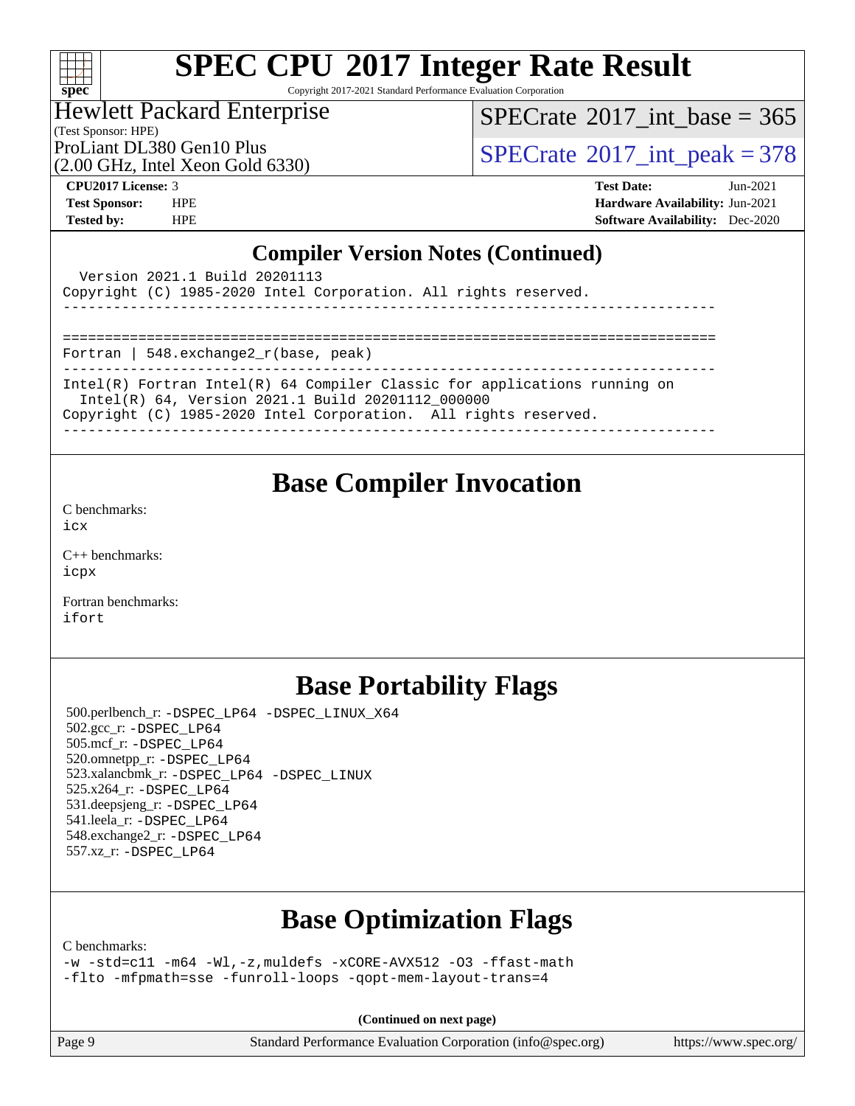

Copyright 2017-2021 Standard Performance Evaluation Corporation

### Hewlett Packard Enterprise

(Test Sponsor: HPE)

 $SPECTate$ <sup>®</sup>[2017\\_int\\_base =](http://www.spec.org/auto/cpu2017/Docs/result-fields.html#SPECrate2017intbase) 365

(2.00 GHz, Intel Xeon Gold 6330)

ProLiant DL380 Gen10 Plus  $\vert$  [SPECrate](http://www.spec.org/auto/cpu2017/Docs/result-fields.html#SPECrate2017intpeak)<sup>®</sup>[2017\\_int\\_peak = 3](http://www.spec.org/auto/cpu2017/Docs/result-fields.html#SPECrate2017intpeak)78

**[CPU2017 License:](http://www.spec.org/auto/cpu2017/Docs/result-fields.html#CPU2017License)** 3 **[Test Date:](http://www.spec.org/auto/cpu2017/Docs/result-fields.html#TestDate)** Jun-2021 **[Test Sponsor:](http://www.spec.org/auto/cpu2017/Docs/result-fields.html#TestSponsor)** HPE **[Hardware Availability:](http://www.spec.org/auto/cpu2017/Docs/result-fields.html#HardwareAvailability)** Jun-2021 **[Tested by:](http://www.spec.org/auto/cpu2017/Docs/result-fields.html#Testedby)** HPE **[Software Availability:](http://www.spec.org/auto/cpu2017/Docs/result-fields.html#SoftwareAvailability)** Dec-2020

### **[Compiler Version Notes \(Continued\)](http://www.spec.org/auto/cpu2017/Docs/result-fields.html#CompilerVersionNotes)**

| Version 2021.1 Build 20201113<br>Copyright (C) 1985-2020 Intel Corporation. All rights reserved.                                                                                                  |
|---------------------------------------------------------------------------------------------------------------------------------------------------------------------------------------------------|
|                                                                                                                                                                                                   |
| Fortran   548. $exchange2 r(base, peak)$                                                                                                                                                          |
| Intel(R) Fortran Intel(R) 64 Compiler Classic for applications running on<br>Intel(R) 64, Version 2021.1 Build 20201112 000000<br>Copyright (C) 1985-2020 Intel Corporation. All rights reserved. |
|                                                                                                                                                                                                   |

### **[Base Compiler Invocation](http://www.spec.org/auto/cpu2017/Docs/result-fields.html#BaseCompilerInvocation)**

[C benchmarks](http://www.spec.org/auto/cpu2017/Docs/result-fields.html#Cbenchmarks): [icx](http://www.spec.org/cpu2017/results/res2021q3/cpu2017-20210705-27747.flags.html#user_CCbase_intel_icx_fe2d28d19ae2a5db7c42fe0f2a2aed77cb715edd4aeb23434404a8be6683fe239869bb6ca8154ca98265c2e3b9226a719a0efe2953a4a7018c379b7010ccf087)

[C++ benchmarks:](http://www.spec.org/auto/cpu2017/Docs/result-fields.html#CXXbenchmarks) [icpx](http://www.spec.org/cpu2017/results/res2021q3/cpu2017-20210705-27747.flags.html#user_CXXbase_intel_icpx_1e918ed14c436bf4b9b7c8bcdd51d4539fc71b3df010bd1e9f8732d9c34c2b2914e48204a846820f3c0ebb4095dea797a5c30b458ac0b6dffac65d78f781f5ca)

[Fortran benchmarks](http://www.spec.org/auto/cpu2017/Docs/result-fields.html#Fortranbenchmarks): [ifort](http://www.spec.org/cpu2017/results/res2021q3/cpu2017-20210705-27747.flags.html#user_FCbase_intel_ifort_8111460550e3ca792625aed983ce982f94888b8b503583aa7ba2b8303487b4d8a21a13e7191a45c5fd58ff318f48f9492884d4413fa793fd88dd292cad7027ca)

### **[Base Portability Flags](http://www.spec.org/auto/cpu2017/Docs/result-fields.html#BasePortabilityFlags)**

 500.perlbench\_r: [-DSPEC\\_LP64](http://www.spec.org/cpu2017/results/res2021q3/cpu2017-20210705-27747.flags.html#b500.perlbench_r_basePORTABILITY_DSPEC_LP64) [-DSPEC\\_LINUX\\_X64](http://www.spec.org/cpu2017/results/res2021q3/cpu2017-20210705-27747.flags.html#b500.perlbench_r_baseCPORTABILITY_DSPEC_LINUX_X64) 502.gcc\_r: [-DSPEC\\_LP64](http://www.spec.org/cpu2017/results/res2021q3/cpu2017-20210705-27747.flags.html#suite_basePORTABILITY502_gcc_r_DSPEC_LP64) 505.mcf\_r: [-DSPEC\\_LP64](http://www.spec.org/cpu2017/results/res2021q3/cpu2017-20210705-27747.flags.html#suite_basePORTABILITY505_mcf_r_DSPEC_LP64) 520.omnetpp\_r: [-DSPEC\\_LP64](http://www.spec.org/cpu2017/results/res2021q3/cpu2017-20210705-27747.flags.html#suite_basePORTABILITY520_omnetpp_r_DSPEC_LP64) 523.xalancbmk\_r: [-DSPEC\\_LP64](http://www.spec.org/cpu2017/results/res2021q3/cpu2017-20210705-27747.flags.html#suite_basePORTABILITY523_xalancbmk_r_DSPEC_LP64) [-DSPEC\\_LINUX](http://www.spec.org/cpu2017/results/res2021q3/cpu2017-20210705-27747.flags.html#b523.xalancbmk_r_baseCXXPORTABILITY_DSPEC_LINUX) 525.x264\_r: [-DSPEC\\_LP64](http://www.spec.org/cpu2017/results/res2021q3/cpu2017-20210705-27747.flags.html#suite_basePORTABILITY525_x264_r_DSPEC_LP64) 531.deepsjeng\_r: [-DSPEC\\_LP64](http://www.spec.org/cpu2017/results/res2021q3/cpu2017-20210705-27747.flags.html#suite_basePORTABILITY531_deepsjeng_r_DSPEC_LP64) 541.leela\_r: [-DSPEC\\_LP64](http://www.spec.org/cpu2017/results/res2021q3/cpu2017-20210705-27747.flags.html#suite_basePORTABILITY541_leela_r_DSPEC_LP64) 548.exchange2\_r: [-DSPEC\\_LP64](http://www.spec.org/cpu2017/results/res2021q3/cpu2017-20210705-27747.flags.html#suite_basePORTABILITY548_exchange2_r_DSPEC_LP64) 557.xz\_r: [-DSPEC\\_LP64](http://www.spec.org/cpu2017/results/res2021q3/cpu2017-20210705-27747.flags.html#suite_basePORTABILITY557_xz_r_DSPEC_LP64)

## **[Base Optimization Flags](http://www.spec.org/auto/cpu2017/Docs/result-fields.html#BaseOptimizationFlags)**

[C benchmarks](http://www.spec.org/auto/cpu2017/Docs/result-fields.html#Cbenchmarks): [-w](http://www.spec.org/cpu2017/results/res2021q3/cpu2017-20210705-27747.flags.html#user_CCbase_supress_warning_66fb2c4e5c1dd10f38bdd29623979399e5ae75ae6e5453792d82ef66afed381df4a8602f92cac8d2ea0fffa7b93b4b1ccb9ecad4af01c9b2fe338b2082ae3859) [-std=c11](http://www.spec.org/cpu2017/results/res2021q3/cpu2017-20210705-27747.flags.html#user_CCbase_std-icc-std_0e1c27790398a4642dfca32ffe6c27b5796f9c2d2676156f2e42c9c44eaad0c049b1cdb667a270c34d979996257aeb8fc440bfb01818dbc9357bd9d174cb8524) [-m64](http://www.spec.org/cpu2017/results/res2021q3/cpu2017-20210705-27747.flags.html#user_CCbase_m64-icc) [-Wl,-z,muldefs](http://www.spec.org/cpu2017/results/res2021q3/cpu2017-20210705-27747.flags.html#user_CCbase_link_force_multiple1_b4cbdb97b34bdee9ceefcfe54f4c8ea74255f0b02a4b23e853cdb0e18eb4525ac79b5a88067c842dd0ee6996c24547a27a4b99331201badda8798ef8a743f577) [-xCORE-AVX512](http://www.spec.org/cpu2017/results/res2021q3/cpu2017-20210705-27747.flags.html#user_CCbase_f-xCORE-AVX512) [-O3](http://www.spec.org/cpu2017/results/res2021q3/cpu2017-20210705-27747.flags.html#user_CCbase_f-O3) [-ffast-math](http://www.spec.org/cpu2017/results/res2021q3/cpu2017-20210705-27747.flags.html#user_CCbase_f-ffast-math) [-flto](http://www.spec.org/cpu2017/results/res2021q3/cpu2017-20210705-27747.flags.html#user_CCbase_f-flto) [-mfpmath=sse](http://www.spec.org/cpu2017/results/res2021q3/cpu2017-20210705-27747.flags.html#user_CCbase_f-mfpmath_70eb8fac26bde974f8ab713bc9086c5621c0b8d2f6c86f38af0bd7062540daf19db5f3a066d8c6684be05d84c9b6322eb3b5be6619d967835195b93d6c02afa1) [-funroll-loops](http://www.spec.org/cpu2017/results/res2021q3/cpu2017-20210705-27747.flags.html#user_CCbase_f-funroll-loops) [-qopt-mem-layout-trans=4](http://www.spec.org/cpu2017/results/res2021q3/cpu2017-20210705-27747.flags.html#user_CCbase_f-qopt-mem-layout-trans_fa39e755916c150a61361b7846f310bcdf6f04e385ef281cadf3647acec3f0ae266d1a1d22d972a7087a248fd4e6ca390a3634700869573d231a252c784941a8)

**(Continued on next page)**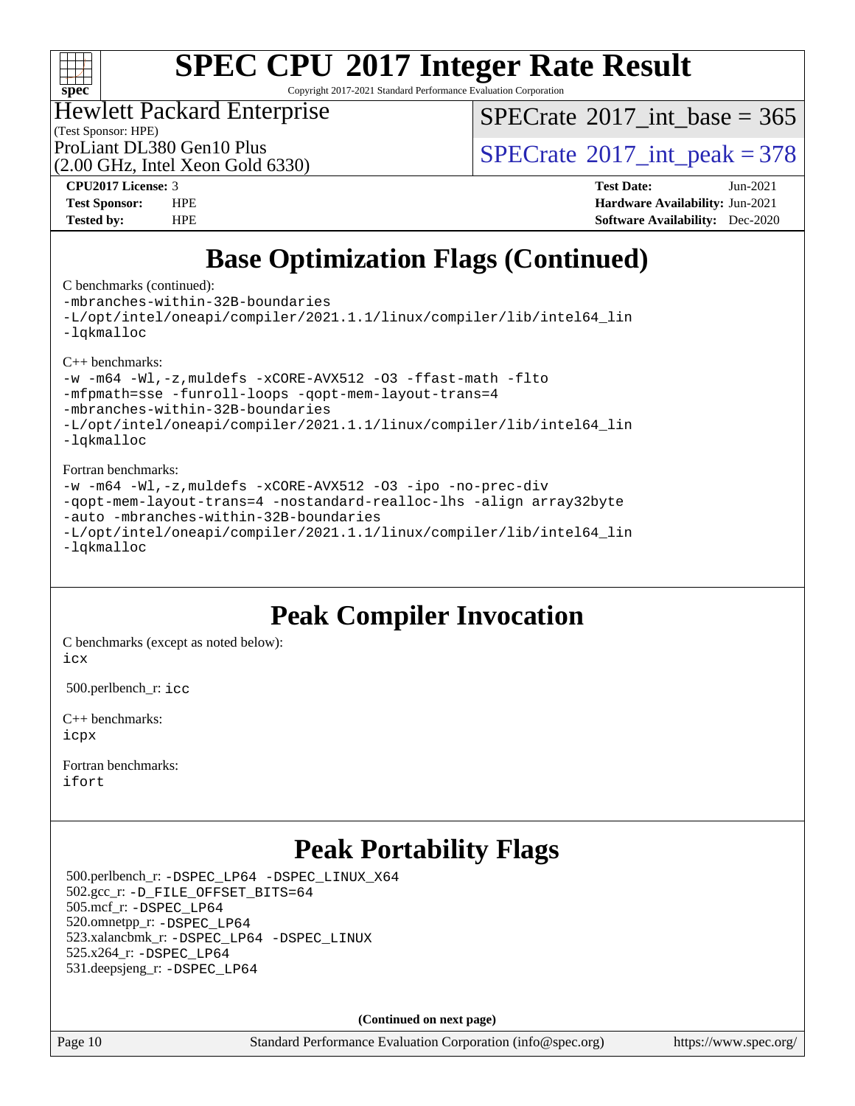

Copyright 2017-2021 Standard Performance Evaluation Corporation

### Hewlett Packard Enterprise

 $SPECTate$ <sup>®</sup>[2017\\_int\\_base =](http://www.spec.org/auto/cpu2017/Docs/result-fields.html#SPECrate2017intbase) 365

(Test Sponsor: HPE) (2.00 GHz, Intel Xeon Gold 6330)

ProLiant DL380 Gen10 Plus  $\text{SPECTate}^{\circ}2017\_int\_peak = 378$ 

**[CPU2017 License:](http://www.spec.org/auto/cpu2017/Docs/result-fields.html#CPU2017License)** 3 **[Test Date:](http://www.spec.org/auto/cpu2017/Docs/result-fields.html#TestDate)** Jun-2021 **[Test Sponsor:](http://www.spec.org/auto/cpu2017/Docs/result-fields.html#TestSponsor)** HPE **[Hardware Availability:](http://www.spec.org/auto/cpu2017/Docs/result-fields.html#HardwareAvailability)** Jun-2021 **[Tested by:](http://www.spec.org/auto/cpu2017/Docs/result-fields.html#Testedby)** HPE **[Software Availability:](http://www.spec.org/auto/cpu2017/Docs/result-fields.html#SoftwareAvailability)** Dec-2020

# **[Base Optimization Flags \(Continued\)](http://www.spec.org/auto/cpu2017/Docs/result-fields.html#BaseOptimizationFlags)**

[C benchmarks](http://www.spec.org/auto/cpu2017/Docs/result-fields.html#Cbenchmarks) (continued):

[-mbranches-within-32B-boundaries](http://www.spec.org/cpu2017/results/res2021q3/cpu2017-20210705-27747.flags.html#user_CCbase_f-mbranches-within-32B-boundaries) [-L/opt/intel/oneapi/compiler/2021.1.1/linux/compiler/lib/intel64\\_lin](http://www.spec.org/cpu2017/results/res2021q3/cpu2017-20210705-27747.flags.html#user_CCbase_linkpath_f3ac96bc44eb3356c66274e76f12ce7989555e6431aa425d8bf37251b5a0a8e4f20d385a762420f3e0cdf627bb737484454017ddfa67f55a42ce17058c8be12d) [-lqkmalloc](http://www.spec.org/cpu2017/results/res2021q3/cpu2017-20210705-27747.flags.html#user_CCbase_qkmalloc_link_lib_79a818439969f771c6bc311cfd333c00fc099dad35c030f5aab9dda831713d2015205805422f83de8875488a2991c0a156aaa600e1f9138f8fc37004abc96dc5) [C++ benchmarks:](http://www.spec.org/auto/cpu2017/Docs/result-fields.html#CXXbenchmarks) [-w](http://www.spec.org/cpu2017/results/res2021q3/cpu2017-20210705-27747.flags.html#user_CXXbase_supress_warning_66fb2c4e5c1dd10f38bdd29623979399e5ae75ae6e5453792d82ef66afed381df4a8602f92cac8d2ea0fffa7b93b4b1ccb9ecad4af01c9b2fe338b2082ae3859) [-m64](http://www.spec.org/cpu2017/results/res2021q3/cpu2017-20210705-27747.flags.html#user_CXXbase_m64-icc) [-Wl,-z,muldefs](http://www.spec.org/cpu2017/results/res2021q3/cpu2017-20210705-27747.flags.html#user_CXXbase_link_force_multiple1_b4cbdb97b34bdee9ceefcfe54f4c8ea74255f0b02a4b23e853cdb0e18eb4525ac79b5a88067c842dd0ee6996c24547a27a4b99331201badda8798ef8a743f577) [-xCORE-AVX512](http://www.spec.org/cpu2017/results/res2021q3/cpu2017-20210705-27747.flags.html#user_CXXbase_f-xCORE-AVX512) [-O3](http://www.spec.org/cpu2017/results/res2021q3/cpu2017-20210705-27747.flags.html#user_CXXbase_f-O3) [-ffast-math](http://www.spec.org/cpu2017/results/res2021q3/cpu2017-20210705-27747.flags.html#user_CXXbase_f-ffast-math) [-flto](http://www.spec.org/cpu2017/results/res2021q3/cpu2017-20210705-27747.flags.html#user_CXXbase_f-flto) [-mfpmath=sse](http://www.spec.org/cpu2017/results/res2021q3/cpu2017-20210705-27747.flags.html#user_CXXbase_f-mfpmath_70eb8fac26bde974f8ab713bc9086c5621c0b8d2f6c86f38af0bd7062540daf19db5f3a066d8c6684be05d84c9b6322eb3b5be6619d967835195b93d6c02afa1) [-funroll-loops](http://www.spec.org/cpu2017/results/res2021q3/cpu2017-20210705-27747.flags.html#user_CXXbase_f-funroll-loops) [-qopt-mem-layout-trans=4](http://www.spec.org/cpu2017/results/res2021q3/cpu2017-20210705-27747.flags.html#user_CXXbase_f-qopt-mem-layout-trans_fa39e755916c150a61361b7846f310bcdf6f04e385ef281cadf3647acec3f0ae266d1a1d22d972a7087a248fd4e6ca390a3634700869573d231a252c784941a8) [-mbranches-within-32B-boundaries](http://www.spec.org/cpu2017/results/res2021q3/cpu2017-20210705-27747.flags.html#user_CXXbase_f-mbranches-within-32B-boundaries) [-L/opt/intel/oneapi/compiler/2021.1.1/linux/compiler/lib/intel64\\_lin](http://www.spec.org/cpu2017/results/res2021q3/cpu2017-20210705-27747.flags.html#user_CXXbase_linkpath_f3ac96bc44eb3356c66274e76f12ce7989555e6431aa425d8bf37251b5a0a8e4f20d385a762420f3e0cdf627bb737484454017ddfa67f55a42ce17058c8be12d) [-lqkmalloc](http://www.spec.org/cpu2017/results/res2021q3/cpu2017-20210705-27747.flags.html#user_CXXbase_qkmalloc_link_lib_79a818439969f771c6bc311cfd333c00fc099dad35c030f5aab9dda831713d2015205805422f83de8875488a2991c0a156aaa600e1f9138f8fc37004abc96dc5) [Fortran benchmarks](http://www.spec.org/auto/cpu2017/Docs/result-fields.html#Fortranbenchmarks): [-w](http://www.spec.org/cpu2017/results/res2021q3/cpu2017-20210705-27747.flags.html#user_FCbase_supress_warning_66fb2c4e5c1dd10f38bdd29623979399e5ae75ae6e5453792d82ef66afed381df4a8602f92cac8d2ea0fffa7b93b4b1ccb9ecad4af01c9b2fe338b2082ae3859) [-m64](http://www.spec.org/cpu2017/results/res2021q3/cpu2017-20210705-27747.flags.html#user_FCbase_m64-icc) [-Wl,-z,muldefs](http://www.spec.org/cpu2017/results/res2021q3/cpu2017-20210705-27747.flags.html#user_FCbase_link_force_multiple1_b4cbdb97b34bdee9ceefcfe54f4c8ea74255f0b02a4b23e853cdb0e18eb4525ac79b5a88067c842dd0ee6996c24547a27a4b99331201badda8798ef8a743f577) [-xCORE-AVX512](http://www.spec.org/cpu2017/results/res2021q3/cpu2017-20210705-27747.flags.html#user_FCbase_f-xCORE-AVX512) [-O3](http://www.spec.org/cpu2017/results/res2021q3/cpu2017-20210705-27747.flags.html#user_FCbase_f-O3) [-ipo](http://www.spec.org/cpu2017/results/res2021q3/cpu2017-20210705-27747.flags.html#user_FCbase_f-ipo) [-no-prec-div](http://www.spec.org/cpu2017/results/res2021q3/cpu2017-20210705-27747.flags.html#user_FCbase_f-no-prec-div) [-qopt-mem-layout-trans=4](http://www.spec.org/cpu2017/results/res2021q3/cpu2017-20210705-27747.flags.html#user_FCbase_f-qopt-mem-layout-trans_fa39e755916c150a61361b7846f310bcdf6f04e385ef281cadf3647acec3f0ae266d1a1d22d972a7087a248fd4e6ca390a3634700869573d231a252c784941a8) [-nostandard-realloc-lhs](http://www.spec.org/cpu2017/results/res2021q3/cpu2017-20210705-27747.flags.html#user_FCbase_f_2003_std_realloc_82b4557e90729c0f113870c07e44d33d6f5a304b4f63d4c15d2d0f1fab99f5daaed73bdb9275d9ae411527f28b936061aa8b9c8f2d63842963b95c9dd6426b8a) [-align array32byte](http://www.spec.org/cpu2017/results/res2021q3/cpu2017-20210705-27747.flags.html#user_FCbase_align_array32byte_b982fe038af199962ba9a80c053b8342c548c85b40b8e86eb3cc33dee0d7986a4af373ac2d51c3f7cf710a18d62fdce2948f201cd044323541f22fc0fffc51b6) [-auto](http://www.spec.org/cpu2017/results/res2021q3/cpu2017-20210705-27747.flags.html#user_FCbase_f-auto) [-mbranches-within-32B-boundaries](http://www.spec.org/cpu2017/results/res2021q3/cpu2017-20210705-27747.flags.html#user_FCbase_f-mbranches-within-32B-boundaries)

[-L/opt/intel/oneapi/compiler/2021.1.1/linux/compiler/lib/intel64\\_lin](http://www.spec.org/cpu2017/results/res2021q3/cpu2017-20210705-27747.flags.html#user_FCbase_linkpath_f3ac96bc44eb3356c66274e76f12ce7989555e6431aa425d8bf37251b5a0a8e4f20d385a762420f3e0cdf627bb737484454017ddfa67f55a42ce17058c8be12d) [-lqkmalloc](http://www.spec.org/cpu2017/results/res2021q3/cpu2017-20210705-27747.flags.html#user_FCbase_qkmalloc_link_lib_79a818439969f771c6bc311cfd333c00fc099dad35c030f5aab9dda831713d2015205805422f83de8875488a2991c0a156aaa600e1f9138f8fc37004abc96dc5)

## **[Peak Compiler Invocation](http://www.spec.org/auto/cpu2017/Docs/result-fields.html#PeakCompilerInvocation)**

[C benchmarks \(except as noted below\)](http://www.spec.org/auto/cpu2017/Docs/result-fields.html#Cbenchmarksexceptasnotedbelow): [icx](http://www.spec.org/cpu2017/results/res2021q3/cpu2017-20210705-27747.flags.html#user_CCpeak_intel_icx_fe2d28d19ae2a5db7c42fe0f2a2aed77cb715edd4aeb23434404a8be6683fe239869bb6ca8154ca98265c2e3b9226a719a0efe2953a4a7018c379b7010ccf087)

500.perlbench\_r: [icc](http://www.spec.org/cpu2017/results/res2021q3/cpu2017-20210705-27747.flags.html#user_peakCCLD500_perlbench_r_intel_icc_66fc1ee009f7361af1fbd72ca7dcefbb700085f36577c54f309893dd4ec40d12360134090235512931783d35fd58c0460139e722d5067c5574d8eaf2b3e37e92)

[C++ benchmarks:](http://www.spec.org/auto/cpu2017/Docs/result-fields.html#CXXbenchmarks) [icpx](http://www.spec.org/cpu2017/results/res2021q3/cpu2017-20210705-27747.flags.html#user_CXXpeak_intel_icpx_1e918ed14c436bf4b9b7c8bcdd51d4539fc71b3df010bd1e9f8732d9c34c2b2914e48204a846820f3c0ebb4095dea797a5c30b458ac0b6dffac65d78f781f5ca)

[Fortran benchmarks](http://www.spec.org/auto/cpu2017/Docs/result-fields.html#Fortranbenchmarks): [ifort](http://www.spec.org/cpu2017/results/res2021q3/cpu2017-20210705-27747.flags.html#user_FCpeak_intel_ifort_8111460550e3ca792625aed983ce982f94888b8b503583aa7ba2b8303487b4d8a21a13e7191a45c5fd58ff318f48f9492884d4413fa793fd88dd292cad7027ca)

# **[Peak Portability Flags](http://www.spec.org/auto/cpu2017/Docs/result-fields.html#PeakPortabilityFlags)**

 500.perlbench\_r: [-DSPEC\\_LP64](http://www.spec.org/cpu2017/results/res2021q3/cpu2017-20210705-27747.flags.html#b500.perlbench_r_peakPORTABILITY_DSPEC_LP64) [-DSPEC\\_LINUX\\_X64](http://www.spec.org/cpu2017/results/res2021q3/cpu2017-20210705-27747.flags.html#b500.perlbench_r_peakCPORTABILITY_DSPEC_LINUX_X64) 502.gcc\_r: [-D\\_FILE\\_OFFSET\\_BITS=64](http://www.spec.org/cpu2017/results/res2021q3/cpu2017-20210705-27747.flags.html#user_peakPORTABILITY502_gcc_r_file_offset_bits_64_5ae949a99b284ddf4e95728d47cb0843d81b2eb0e18bdfe74bbf0f61d0b064f4bda2f10ea5eb90e1dcab0e84dbc592acfc5018bc955c18609f94ddb8d550002c) 505.mcf\_r: [-DSPEC\\_LP64](http://www.spec.org/cpu2017/results/res2021q3/cpu2017-20210705-27747.flags.html#suite_peakPORTABILITY505_mcf_r_DSPEC_LP64) 520.omnetpp\_r: [-DSPEC\\_LP64](http://www.spec.org/cpu2017/results/res2021q3/cpu2017-20210705-27747.flags.html#suite_peakPORTABILITY520_omnetpp_r_DSPEC_LP64) 523.xalancbmk\_r: [-DSPEC\\_LP64](http://www.spec.org/cpu2017/results/res2021q3/cpu2017-20210705-27747.flags.html#suite_peakPORTABILITY523_xalancbmk_r_DSPEC_LP64) [-DSPEC\\_LINUX](http://www.spec.org/cpu2017/results/res2021q3/cpu2017-20210705-27747.flags.html#b523.xalancbmk_r_peakCXXPORTABILITY_DSPEC_LINUX) 525.x264\_r: [-DSPEC\\_LP64](http://www.spec.org/cpu2017/results/res2021q3/cpu2017-20210705-27747.flags.html#suite_peakPORTABILITY525_x264_r_DSPEC_LP64) 531.deepsjeng\_r: [-DSPEC\\_LP64](http://www.spec.org/cpu2017/results/res2021q3/cpu2017-20210705-27747.flags.html#suite_peakPORTABILITY531_deepsjeng_r_DSPEC_LP64)

**(Continued on next page)**

Page 10 Standard Performance Evaluation Corporation [\(info@spec.org\)](mailto:info@spec.org) <https://www.spec.org/>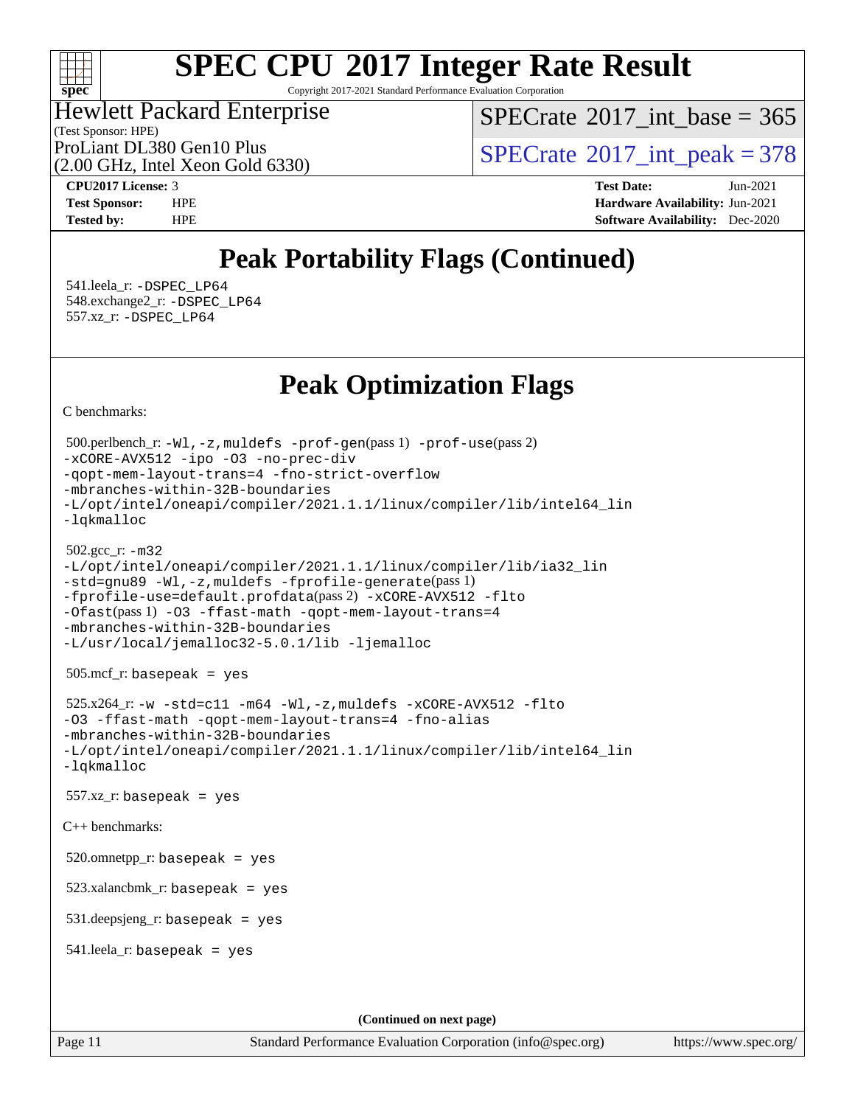

Copyright 2017-2021 Standard Performance Evaluation Corporation

#### (Test Sponsor: HPE) Hewlett Packard Enterprise

 $SPECTate$ <sup>®</sup>[2017\\_int\\_base =](http://www.spec.org/auto/cpu2017/Docs/result-fields.html#SPECrate2017intbase) 365

(2.00 GHz, Intel Xeon Gold 6330)

ProLiant DL380 Gen10 Plus  $\text{SPECTate}^{\circ}2017\_int\_peak = 378$ 

**[CPU2017 License:](http://www.spec.org/auto/cpu2017/Docs/result-fields.html#CPU2017License)** 3 **[Test Date:](http://www.spec.org/auto/cpu2017/Docs/result-fields.html#TestDate)** Jun-2021 **[Test Sponsor:](http://www.spec.org/auto/cpu2017/Docs/result-fields.html#TestSponsor)** HPE **[Hardware Availability:](http://www.spec.org/auto/cpu2017/Docs/result-fields.html#HardwareAvailability)** Jun-2021 **[Tested by:](http://www.spec.org/auto/cpu2017/Docs/result-fields.html#Testedby)** HPE **[Software Availability:](http://www.spec.org/auto/cpu2017/Docs/result-fields.html#SoftwareAvailability)** Dec-2020

## **[Peak Portability Flags \(Continued\)](http://www.spec.org/auto/cpu2017/Docs/result-fields.html#PeakPortabilityFlags)**

 541.leela\_r: [-DSPEC\\_LP64](http://www.spec.org/cpu2017/results/res2021q3/cpu2017-20210705-27747.flags.html#suite_peakPORTABILITY541_leela_r_DSPEC_LP64) 548.exchange2\_r: [-DSPEC\\_LP64](http://www.spec.org/cpu2017/results/res2021q3/cpu2017-20210705-27747.flags.html#suite_peakPORTABILITY548_exchange2_r_DSPEC_LP64) 557.xz\_r: [-DSPEC\\_LP64](http://www.spec.org/cpu2017/results/res2021q3/cpu2017-20210705-27747.flags.html#suite_peakPORTABILITY557_xz_r_DSPEC_LP64)

## **[Peak Optimization Flags](http://www.spec.org/auto/cpu2017/Docs/result-fields.html#PeakOptimizationFlags)**

[C benchmarks](http://www.spec.org/auto/cpu2017/Docs/result-fields.html#Cbenchmarks):

```
Page 11 Standard Performance Evaluation Corporation (info@spec.org) https://www.spec.org/
  500.perlbench_r: -Wl,-z,muldefs -prof-gen(pass 1) -prof-use(pass 2)
-xCORE-AVX512 -ipo -O3 -no-prec-div
-qopt-mem-layout-trans=4 -fno-strict-overflow
-mbranches-within-32B-boundaries
-L/opt/intel/oneapi/compiler/2021.1.1/linux/compiler/lib/intel64_lin
-lqkmalloc
  502.gcc_r: -m32
-L/opt/intel/oneapi/compiler/2021.1.1/linux/compiler/lib/ia32_lin
-std=gnu89 -Wl,-z,muldefs -fprofile-generate(pass 1)
-fprofile-use=default.profdata(pass 2) -xCORE-AVX512 -flto
-Ofast(pass 1) -O3 -ffast-math -qopt-mem-layout-trans=4
-mbranches-within-32B-boundaries
-L/usr/local/jemalloc32-5.0.1/lib -ljemalloc
  505.mcf_r: basepeak = yes
  525.x264_r: -w -std=c11 -m64 -Wl,-z,muldefs -xCORE-AVX512 -flto
-O3 -ffast-math -qopt-mem-layout-trans=4 -fno-alias
-mbranches-within-32B-boundaries
-L/opt/intel/oneapi/compiler/2021.1.1/linux/compiler/lib/intel64_lin
-lqkmalloc
 557.xz_r: basepeak = yes
C++ benchmarks: 
  520.omnetpp_r: basepeak = yes
  523.xalancbmk_r: basepeak = yes
  531.deepsjeng_r: basepeak = yes
  541.leela_r: basepeak = yes
                                      (Continued on next page)
```